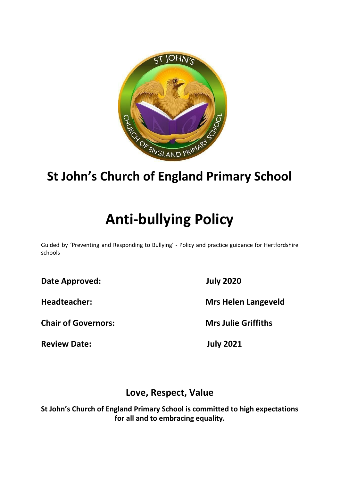

## **St John's Church of England Primary School**

# **Anti-bullying Policy**

Guided by 'Preventing and Responding to Bullying' - Policy and practice guidance for Hertfordshire schools

**Date Approved: July 2020**

**Chair of Governors: Mrs Julie Griffiths**

**Review Date: July 2021**

**Headteacher: Mrs Helen Langeveld**

## **Love, Respect, Value**

**St John's Church of England Primary School is committed to high expectations for all and to embracing equality.**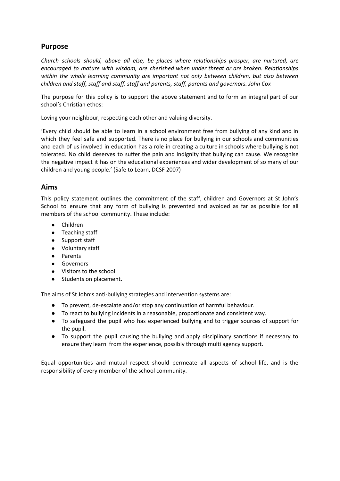## **Purpose**

*Church schools should, above all else, be places where relationships prosper, are nurtured, are encouraged to mature with wisdom, are cherished when under threat or are broken. Relationships within the whole learning community are important not only between children, but also between children and staff, staff and staff, staff and parents, staff, parents and governors. John Cox*

The purpose for this policy is to support the above statement and to form an integral part of our school's Christian ethos:

Loving your neighbour, respecting each other and valuing diversity.

'Every child should be able to learn in a school environment free from bullying of any kind and in which they feel safe and supported. There is no place for bullying in our schools and communities and each of us involved in education has a role in creating a culture in schools where bullying is not tolerated. No child deserves to suffer the pain and indignity that bullying can cause. We recognise the negative impact it has on the educational experiences and wider development of so many of our children and young people.' (Safe to Learn, DCSF 2007)

#### **Aims**

This policy statement outlines the commitment of the staff, children and Governors at St John's School to ensure that any form of bullying is prevented and avoided as far as possible for all members of the school community. These include:

- Children
- Teaching staff
- Support staff
- Voluntary staff
- Parents
- Governors
- Visitors to the school
- Students on placement.

The aims of St John's anti-bullying strategies and intervention systems are:

- To prevent, de-escalate and/or stop any continuation of harmful behaviour.
- To react to bullying incidents in a reasonable, proportionate and consistent way.
- To safeguard the pupil who has experienced bullying and to trigger sources of support for the pupil.
- To support the pupil causing the bullying and apply disciplinary sanctions if necessary to ensure they learn from the experience, possibly through multi agency support.

Equal opportunities and mutual respect should permeate all aspects of school life, and is the responsibility of every member of the school community.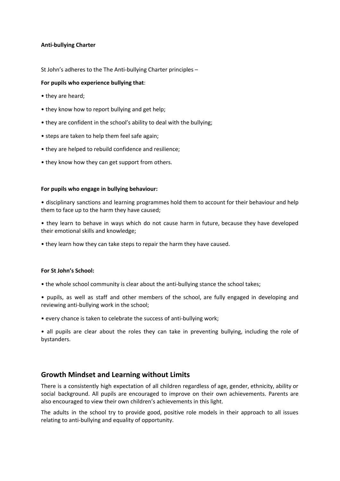#### **Anti-bullying Charter**

St John's adheres to the The Anti-bullying Charter principles –

#### **For pupils who experience bullying that**:

- they are heard;
- they know how to report bullying and get help;
- they are confident in the school's ability to deal with the bullying;
- steps are taken to help them feel safe again;
- they are helped to rebuild confidence and resilience;
- they know how they can get support from others.

#### **For pupils who engage in bullying behaviour:**

• disciplinary sanctions and learning programmes hold them to account for their behaviour and help them to face up to the harm they have caused;

• they learn to behave in ways which do not cause harm in future, because they have developed their emotional skills and knowledge;

• they learn how they can take steps to repair the harm they have caused.

#### **For St John's School:**

- the whole school community is clear about the anti-bullying stance the school takes;
- pupils, as well as staff and other members of the school, are fully engaged in developing and reviewing anti-bullying work in the school;
- every chance is taken to celebrate the success of anti-bullying work;

• all pupils are clear about the roles they can take in preventing bullying, including the role of bystanders.

#### **Growth Mindset and Learning without Limits**

There is a consistently high expectation of all children regardless of age, gender, ethnicity, ability or social background. All pupils are encouraged to improve on their own achievements. Parents are also encouraged to view their own children's achievements in this light.

The adults in the school try to provide good, positive role models in their approach to all issues relating to anti-bullying and equality of opportunity.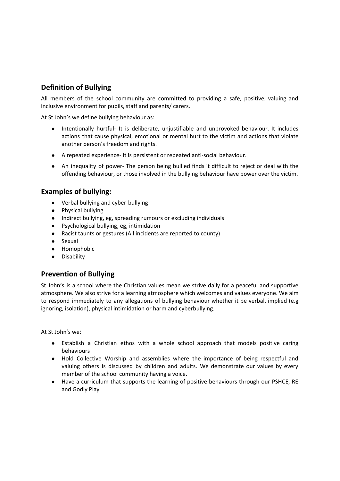## **Definition of Bullying**

All members of the school community are committed to providing a safe, positive, valuing and inclusive environment for pupils, staff and parents/ carers.

At St John's we define bullying behaviour as:

- Intentionally hurtful- It is deliberate, unjustifiable and unprovoked behaviour. It includes actions that cause physical, emotional or mental hurt to the victim and actions that violate another person's freedom and rights.
- A repeated experience- It is persistent or repeated anti-social behaviour.
- An inequality of power- The person being bullied finds it difficult to reject or deal with the offending behaviour, or those involved in the bullying behaviour have power over the victim.

## **Examples of bullying:**

- Verbal bullying and cyber-bullying
- Physical bullying
- Indirect bullying, eg, spreading rumours or excluding individuals
- Psychological bullying, eg, intimidation
- Racist taunts or gestures (All incidents are reported to county)
- Sexual
- Homophobic
- Disability

## **Prevention of Bullying**

St John's is a school where the Christian values mean we strive daily for a peaceful and supportive atmosphere. We also strive for a learning atmosphere which welcomes and values everyone. We aim to respond immediately to any allegations of bullying behaviour whether it be verbal, implied (e.g ignoring, isolation), physical intimidation or harm and cyberbullying.

At St John's we:

- Establish a Christian ethos with a whole school approach that models positive caring behaviours
- Hold Collective Worship and assemblies where the importance of being respectful and valuing others is discussed by children and adults. We demonstrate our values by every member of the school community having a voice.
- Have a curriculum that supports the learning of positive behaviours through our PSHCE, RE and Godly Play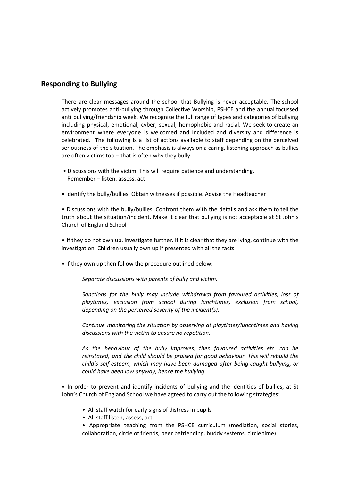#### **Responding to Bullying**

There are clear messages around the school that Bullying is never acceptable. The school actively promotes anti-bullying through Collective Worship, PSHCE and the annual focussed anti bullying/friendship week. We recognise the full range of types and categories of bullying including physical, emotional, cyber, sexual, homophobic and racial. We seek to create an environment where everyone is welcomed and included and diversity and difference is celebrated. The following is a list of actions available to staff depending on the perceived seriousness of the situation. The emphasis is always on a caring, listening approach as bullies are often victims too – that is often why they bully.

- Discussions with the victim. This will require patience and understanding. Remember – listen, assess, act
- Identify the bully/bullies. Obtain witnesses if possible. Advise the Headteacher

• Discussions with the bully/bullies. Confront them with the details and ask them to tell the truth about the situation/incident. Make it clear that bullying is not acceptable at St John's Church of England School

• If they do not own up, investigate further. If it is clear that they are lying, continue with the investigation. Children usually own up if presented with all the facts

• If they own up then follow the procedure outlined below:

*Separate discussions with parents of bully and victim.*

*Sanctions for the bully may include withdrawal from favoured activities, loss of playtimes, exclusion from school during lunchtimes, exclusion from school, depending on the perceived severity of the incident(s).*

*Continue monitoring the situation by observing at playtimes/lunchtimes and having discussions with the victim to ensure no repetition.*

*As the behaviour of the bully improves, then favoured activities etc. can be reinstated, and the child should be praised for good behaviour. This will rebuild the child's self-esteem, which may have been damaged after being caught bullying, or could have been low anyway, hence the bullying.*

• In order to prevent and identify incidents of bullying and the identities of bullies, at St John's Church of England School we have agreed to carry out the following strategies:

- All staff watch for early signs of distress in pupils
- All staff listen, assess, act

• Appropriate teaching from the PSHCE curriculum (mediation, social stories, collaboration, circle of friends, peer befriending, buddy systems, circle time)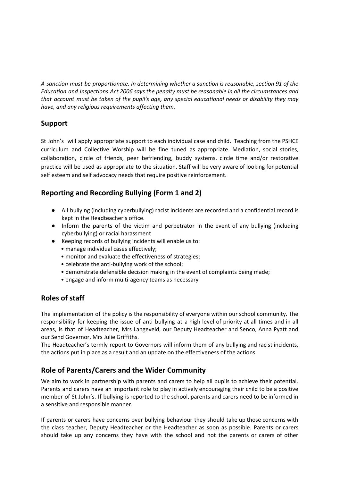*A sanction must be proportionate. In determining whether a sanction is reasonable, section 91 of the Education and Inspections Act 2006 says the penalty must be reasonable in all the circumstances and that account must be taken of the pupil's age, any special educational needs or disability they may have, and any religious requirements affecting them.*

## **Support**

St John's will apply appropriate support to each individual case and child. Teaching from the PSHCE curriculum and Collective Worship will be fine tuned as appropriate. Mediation, social stories, collaboration, circle of friends, peer befriending, buddy systems, circle time and/or restorative practice will be used as appropriate to the situation. Staff will be very aware of looking for potential self esteem and self advocacy needs that require positive reinforcement.

## **Reporting and Recording Bullying (Form 1 and 2)**

- All bullying (including cyberbullying) racist incidents are recorded and a confidential record is kept in the Headteacher's office.
- Inform the parents of the victim and perpetrator in the event of any bullying (including cyberbullying) or racial harassment
- Keeping records of bullying incidents will enable us to:
	- manage individual cases effectively;
	- monitor and evaluate the effectiveness of strategies;
	- celebrate the anti-bullying work of the school;
	- demonstrate defensible decision making in the event of complaints being made;
	- engage and inform multi-agency teams as necessary

## **Roles of staff**

The implementation of the policy is the responsibility of everyone within our school community. The responsibility for keeping the issue of anti bullying at a high level of priority at all times and in all areas, is that of Headteacher, Mrs Langeveld, our Deputy Headteacher and Senco, Anna Pyatt and our Send Governor, Mrs Julie Griffiths.

The Headteacher's termly report to Governors will inform them of any bullying and racist incidents, the actions put in place as a result and an update on the effectiveness of the actions.

## **Role of Parents/Carers and the Wider Community**

We aim to work in partnership with parents and carers to help all pupils to achieve their potential. Parents and carers have an important role to play in actively encouraging their child to be a positive member of St John's. If bullying is reported to the school, parents and carers need to be informed in a sensitive and responsible manner.

If parents or carers have concerns over bullying behaviour they should take up those concerns with the class teacher, Deputy Headteacher or the Headteacher as soon as possible. Parents or carers should take up any concerns they have with the school and not the parents or carers of other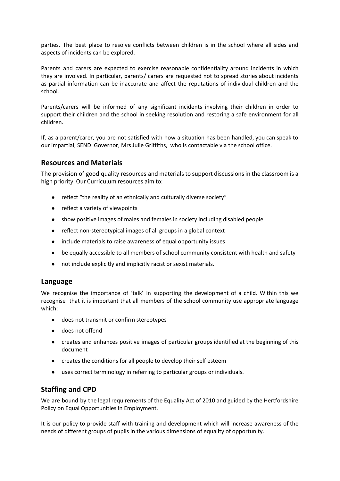parties. The best place to resolve conflicts between children is in the school where all sides and aspects of incidents can be explored.

Parents and carers are expected to exercise reasonable confidentiality around incidents in which they are involved. In particular, parents/ carers are requested not to spread stories about incidents as partial information can be inaccurate and affect the reputations of individual children and the school.

Parents/carers will be informed of any significant incidents involving their children in order to support their children and the school in seeking resolution and restoring a safe environment for all children.

If, as a parent/carer, you are not satisfied with how a situation has been handled, you can speak to our impartial, SEND Governor, Mrs Julie Griffiths, who is contactable via the school office.

#### **Resources and Materials**

The provision of good quality resources and materials to support discussions in the classroom is a high priority. Our Curriculum resources aim to:

- reflect "the reality of an ethnically and culturally diverse society"
- reflect a variety of viewpoints
- show positive images of males and females in society including disabled people
- reflect non-stereotypical images of all groups in a global context
- include materials to raise awareness of equal opportunity issues
- be equally accessible to all members of school community consistent with health and safety
- not include explicitly and implicitly racist or sexist materials.

#### **Language**

We recognise the importance of 'talk' in supporting the development of a child. Within this we recognise that it is important that all members of the school community use appropriate language which:

- does not transmit or confirm stereotypes
- does not offend
- creates and enhances positive images of particular groups identified at the beginning of this document
- creates the conditions for all people to develop their self esteem
- uses correct terminology in referring to particular groups or individuals.

## **Staffing and CPD**

We are bound by the legal requirements of the Equality Act of 2010 and guided by the Hertfordshire Policy on Equal Opportunities in Employment.

It is our policy to provide staff with training and development which will increase awareness of the needs of different groups of pupils in the various dimensions of equality of opportunity.